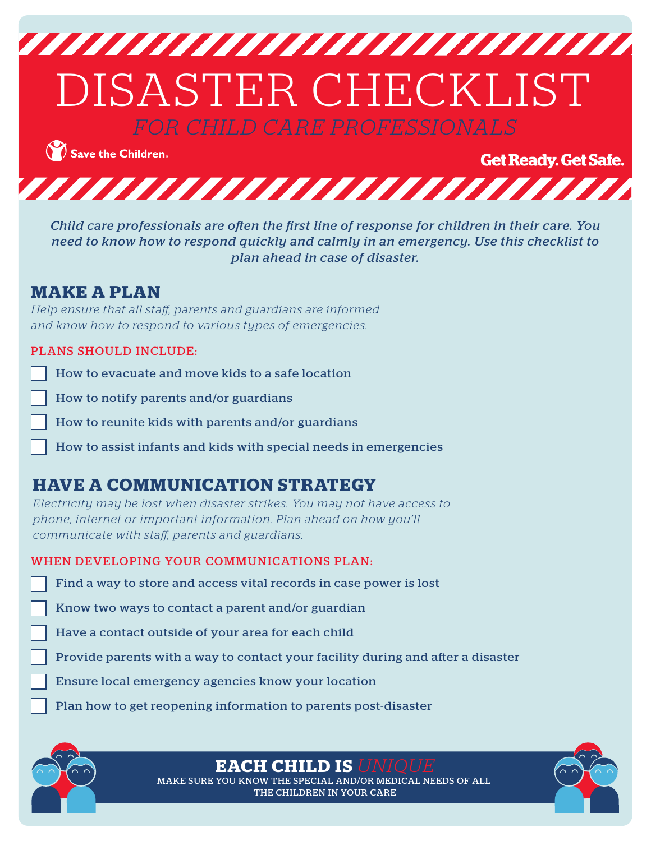

Save the Children.

**Get Ready. Get Safe.** 



*Child care professionals are often the first line of response for children in their care. You need to know how to respond quickly and calmly in an emergency. Use this checklist to plan ahead in case of disaster.*

### **MAKE A PLAN**

*Help ensure that all staff, parents and guardians are informed and know how to respond to various types of emergencies.*

#### PLANS SHOULD INCLUDE:

How to evacuate and move kids to a safe location

How to notify parents and/or guardians

How to reunite kids with parents and/or guardians

How to assist infants and kids with special needs in emergencies

# **HAVE A COMMUNICATION STRATEGY**

*Electricity may be lost when disaster strikes. You may not have access to phone, internet or important information. Plan ahead on how you'll communicate with staff, parents and guardians.*

#### WHEN DEVELOPING YOUR COMMUNICATIONS PLAN:

Find a way to store and access vital records in case power is lost

Know two ways to contact a parent and/or guardian

Have a contact outside of your area for each child

- Provide parents with a way to contact your facility during and after a disaster
- Ensure local emergency agencies know your location
- Plan how to get reopening information to parents post-disaster



**EACH CHILD IS** *UNIQUE*

MAKE SURE YOU KNOW THE SPECIAL AND/OR MEDICAL NEEDS OF ALL THE CHILDREN IN YOUR CARE